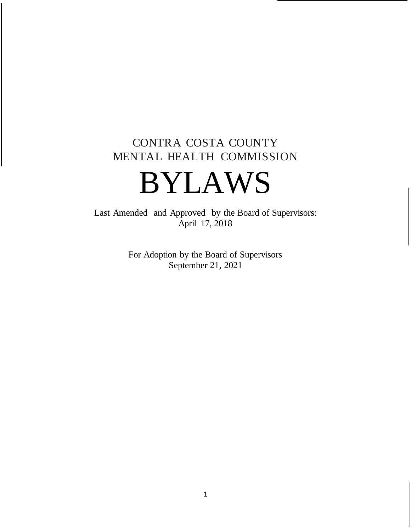# CONTRA COSTA COUNTY MENTAL HEALTH COMMISSION

# BYLAWS

Last Amended and Approved by the Board of Supervisors: April 17, 2018

> For Adoption by the Board of Supervisors September 21, 2021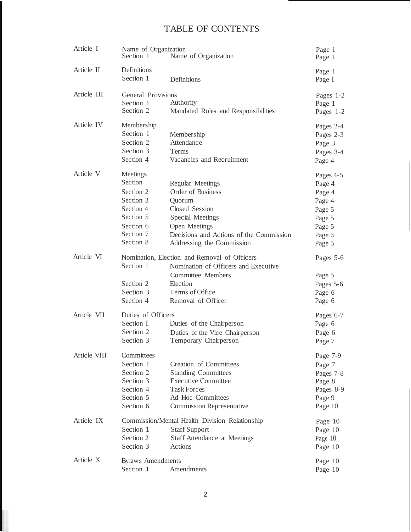# TABLE OF CONTENTS

| Article I    | Name of Organization<br>Section 1                                                                              | Name of Organization                                                                                                                                                                  | Page 1<br>Page 1                                                                          |
|--------------|----------------------------------------------------------------------------------------------------------------|---------------------------------------------------------------------------------------------------------------------------------------------------------------------------------------|-------------------------------------------------------------------------------------------|
| Article II   | Definitions<br>Section 1                                                                                       | Definitions                                                                                                                                                                           | Page 1<br>Page I                                                                          |
| Article III  | General Provisions<br>Section 1<br>Section 2                                                                   | Authority<br>Mandated Roles and Responsibilities                                                                                                                                      | Pages 1-2<br>Page 1<br>Pages 1-2                                                          |
| Article IV   | Membership<br>Section 1<br>Section 2<br>Section 3<br>Section 4                                                 | Membership<br>Attendance<br>Terms<br>Vacancies and Recruitment                                                                                                                        | Pages 2-4<br>Pages 2-3<br>Page 3<br>Pages 3-4<br>Page 4                                   |
| Article V    | Meetings<br>Section<br>Section 2<br>Section 3<br>Section 4<br>Section 5<br>Section 6<br>Section 7<br>Section 8 | <b>Regular Meetings</b><br>Order of Business<br>Quorum<br>Closed Session<br>Special Meetings<br>Open Meetings<br>Decisions and Actions of the Commission<br>Addressing the Commission | Pages 4-5<br>Page 4<br>Page 4<br>Page 4<br>Page 5<br>Page 5<br>Page 5<br>Page 5<br>Page 5 |
| Article VI   | Section 1<br>Section 2<br>Section 3<br>Section 4                                                               | Nomination, Election and Removal of Officers<br>Nomination of Officers and Executive<br><b>Committee Members</b><br>Election<br>Terms of Office<br>Removal of Officer                 | Pages 5-6<br>Page 5<br>Pages 5-6<br>Page 6<br>Page 6                                      |
| Article VII  | Duties of Officers<br>Section I<br>Section 2<br>Section 3                                                      | Duties of the Chairperson<br>Duties of the Vice Chairperson<br>Temporary Chairperson                                                                                                  | Pages 6-7<br>Page 6<br>Page 6<br>Page 7                                                   |
| Article VIII | Committees<br>Section 1<br>Section 2<br>Section 3<br>Section 4<br>Section 5<br>Section 6                       | <b>Creation of Committees</b><br><b>Standing Committees</b><br><b>Executive Committee</b><br>Task Forces<br>Ad Hoc Committees<br><b>Commission Representative</b>                     | Page 7-9<br>Page 7<br>Pages 7-8<br>Page 8<br>Pages 8-9<br>Page 9<br>Page 10               |
| Article IX   | Section 1<br>Section 2<br>Section 3                                                                            | Commission/Mental Health Division Relationship<br><b>Staff Support</b><br><b>Staff Attendance at Meetings</b><br>Actions                                                              | Page 10<br>Page 10<br>Page 10<br>Page 10                                                  |
| Article X    | <b>Bylaws</b> Amendments<br>Section 1                                                                          | Amendments                                                                                                                                                                            | Page 10<br>Page 10                                                                        |

the company of the company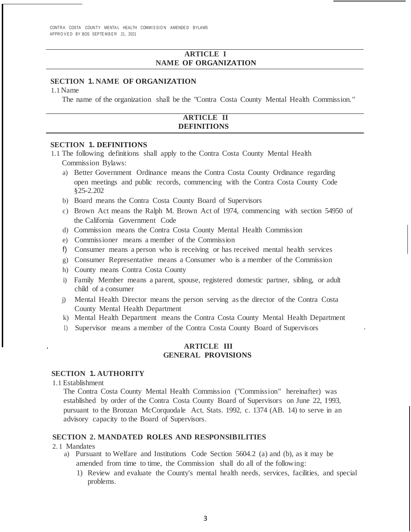CONTRA COSTA COUNTY MENTAL HEALTH COMMISSION AMENDED BYLAWS APPROVED BY BOS SEPTEMBER 21, 2021

# **ARTICLE I NAME OF ORGANIZATION**

# **SECTION 1. NAME OF ORGANIZATION**

1.1Name

The name of the organization shall be the "Contra Costa County Mental Health Commission."

# **ARTICLE II DEFINITIONS**

# **SECTION 1. DEFINITIONS**

- 1.1 The following definitions shall apply to the Contra Costa County Mental Health Commission Bylaws:
	- a) Better Government Ordinance means the Contra Costa County Ordinance regarding open meetings and public records, commencing with the Contra Costa County Code §25-2.202
	- b) Board means the Contra Costa County Board of Supervisors
	- c) Brown Act means the Ralph M. Brown Act of 1974, commencing with section 54950 of the California Government Code
	- d) Commission means the Contra Costa County Mental Health Commission
	- e) Commissioner means a member of the Commission
	- f) Consumer means a person who is receiving or has received mental health services
	- g) Consumer Representative means a Consumer who is a member of the Commission
	- h) County means Contra Costa County
	- i) Family Member means a parent, spouse, registered domestic partner, sibling, or adult child of a consumer
	- j) Mental Health Director means the person serving as the director of the Contra Costa County Mental Health Department
	- k) Mental Health Department means the Contra Costa County Mental Health Department
	- 1) Supervisor means a member of the Contra Costa County Board of Supervisors

#### **ARTICLE III GENERAL PROVISIONS**

# **SECTION 1. AUTHORITY**

1.1 Establishment

The Contra Costa County Mental Health Commission ("Commission" hereinafter) was established by order of the Contra Costa County Board of Supervisors on June 22, 1993, pursuant to the Bronzan McCorquodale Act, Stats. 1992, c. 1374 (AB. 14) to serve in an advisory capacity to the Board of Supervisors.

# **SECTION 2. MANDATED ROLES AND RESPONSIBILITIES**

#### 2. 1 Mandates

- a) Pursuant to Welfare and Institutions Code Section 5604.2 (a) and (b), as it may be amended from time to time, the Commission shall do all of the following:
	- 1) Review and evaluate the County's mental health needs, services, facilities, and special problems.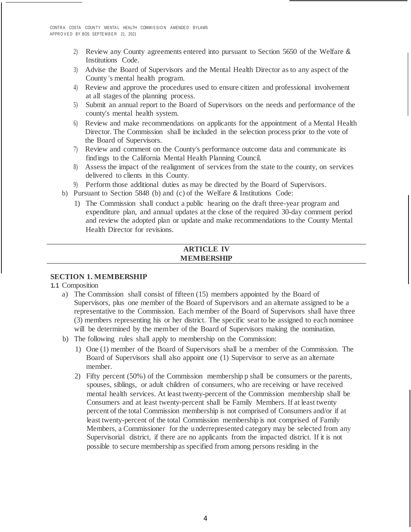- 2) Review any County agreements entered into pursuant to Section 5650 of the Welfare & Institutions Code.
- 3) Advise the Board of Supervisors and the Mental Health Director as to any aspect of the County 's mental health program.
- 4) Review and approve the procedures used to ensure citizen and professional involvement at all stages of the planning process.
- 5) Submit an annual report to the Board of Supervisors on the needs and performance of the county's mental health system.
- 6) Review and make recommendations on applicants for the appointment of a Mental Health Director. The Commission shall be included in the selection process prior to the vote of the Board of Supervisors.
- 7) Review and comment on the County's performance outcome data and communicate its findings to the California Mental Health Planning Council.
- 8) Assess the impact of the realignment of services from the state to the county, on services delivered to clients in this County.
- 9) Perform those additional duties as may be directed by the Board of Supervisors.
- b) Pursuant to Section 5848 (b) and (c) of the Welfare & Institutions Code:
	- 1) The Commission shall conduct a public hearing on the draft three-year program and expenditure plan, and annual updates at the close of the required 30-day comment period and review the adopted plan or update and make recommendations to the County Mental Health Director for revisions.

# **ARTICLE IV MEMBERSHIP**

# **SECTION 1. MEMBERSHIP**

**1.1** Composition

- a) The Commission shall consist of fifteen (15) members appointed by the Board of Supervisors, plus one member of the Board of Supervisors and an alternate assigned to be a representative to the Commission. Each member of the Board of Supervisors shall have three (3) members representing his or her district. The specific seat to be assigned to each nominee will be determined by the member of the Board of Supervisors making the nomination.
- b) The following rules shall apply to membership on the Commission:
	- 1) One (1) member of the Board of Supervisors shall be a member of the Commission. The Board of Supervisors shall also appoint one (1) Supervisor to serve as an alternate member.
	- 2) Fifty percent (50%) of the Commission membership p shall be consumers or the parents, spouses, siblings, or adult children of consumers, who are receiving or have received mental health services. At least twenty-percent of the Commission membership shall be Consumers and at least twenty-percent shall be Family Members. If at least twenty percent of the total Commission membership is not comprised of Consumers and/or if at least twenty-percent of the total Commission membership is not comprised of Family Members, a Commissioner for the underrepresented category may be selected from any Supervisorial district, if there are no applicants from the impacted district. If it is not possible to secure membership as specified from among persons residing in the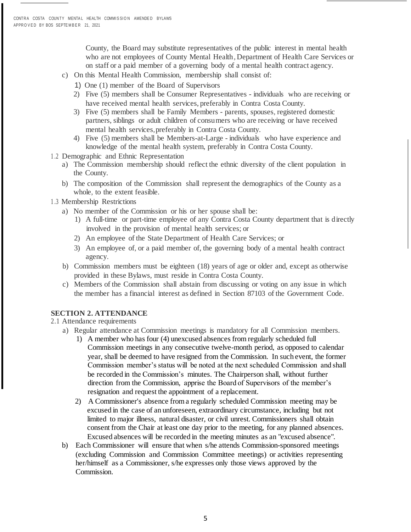County, the Board may substitute representatives of the public interest in mental health who are not employees of County Mental Health, Department of Health Care Services or on staff or a paid member of a governing body of a mental health contract agency.

- c) On this Mental Health Commission, membership shall consist of:
	- 1) One (1) member of the Board of Supervisors
	- 2) Five (5) members shall be Consumer Representatives individuals who are receiving or have received mental health services, preferably in Contra Costa County.
	- 3) Five (5) members shall be Family Members parents, spouses, registered domestic partners, siblings or adult children of consumers who are receiving or have received mental health services,preferably in Contra Costa County.
	- 4) Five (5) members shall be Members-at-Large individuals who have experience and knowledge of the mental health system, preferably in Contra Costa County.
- 1 .2 Demographic and Ethnic Representation
	- a) The Commission membership should reflect the ethnic diversity of the client population in the County.
	- b) The composition of the Commission shall represent the demographics of the County as a whole, to the extent feasible.

### 1 .3 Membership Restrictions

- a) No member of the Commission or his or her spouse shall be:
	- 1) A full-time or part-time employee of any Contra Costa County department that is directly involved in the provision of mental health services; or
	- 2) An employee of the State Department of Health Care Services; or
	- 3) An employee of, or a paid member of, the governing body of a mental health contract agency.
- b) Commission members must be eighteen (18) years of age or older and, except as otherwise provided in these Bylaws, must reside in Contra Costa County.
- c) Members of the Commission shall abstain from discussing or voting on any issue in which the member has a financial interest as defined in Section 87103 of the Government Code.

# **SECTION 2. ATTENDANCE**

- 2.1 Attendance requirements
	- a) Regular attendance at Commission meetings is mandatory for all Commission members.
		- 1) A member who has four (4) unexcused absences from regularly scheduled full Commission meetings in any consecutive twelve-month period, as opposed to calendar year, shall be deemed to have resigned from the Commission. In such event, the former Commission member's status will be noted at the next scheduled Commission and shall be recorded in the Commission's minutes. The Chairperson shall, without further direction from the Commission, apprise the Board of Supervisors of the member's resignation and request the appointment of a replacement.
		- 2) A Commissioner's absence from a regularly scheduled Commission meeting may be excused in the case of an unforeseen, extraordinary circumstance, including but not limited to major illness, natural disaster, or civil unrest. Commissioners shall obtain consent from the Chair at least one day prior to the meeting, for any planned absences. Excused absences will be recorded in the meeting minutes as an "excused absence".
	- b) Each Commissioner will ensure that when s/he attends Commission-sponsored meetings (excluding Commission and Commission Committee meetings) or activities representing her/himself as a Commissioner, s/he expresses only those views approved by the Commission.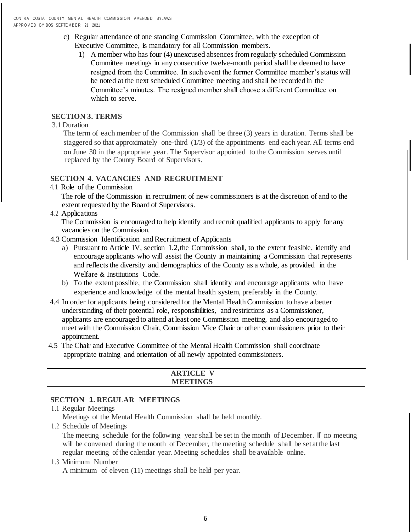- c) Regular attendance of one standing Commission Committee, with the exception of Executive Committee, is mandatory for all Commission members.
	- 1) A member who has four (4) unexcused absences from regularly scheduled Commission Committee meetings in any consecutive twelve-month period shall be deemed to have resigned from the Committee. In such event the former Committee member's status will be noted at the next scheduled Committee meeting and shall be recorded in the Committee's minutes. The resigned member shall choose a different Committee on which to serve.

# **SECTION 3. TERMS**

3.1 Duration

The term of each member of the Commission shall be three (3) years in duration. Terms shall be staggered so that approximately one-third (1/3) of the appointments end each year. All terms end on June 30 in the appropriate year. The Supervisor appointed to the Commission serves until replaced by the County Board of Supervisors.

# **SECTION 4. VACANCIES AND RECRUITMENT**

4.1 Role of the Commission

The role of the Commission in recruitment of new commissioners is at the discretion of and to the extent requested by the Board of Supervisors.

4.2 Applications

The Commission is encouraged to help identify and recruit qualified applicants to apply for any vacancies on the Commission.

- 4.3 Commission Identification and Recruitment of Applicants
	- a) Pursuant to Article IV, section 1.2,the Commission shall, to the extent feasible, identify and encourage applicants who will assist the County in maintaining a Commission that represents and reflects the diversity and demographics of the County as a whole, as provided in the Welfare & Institutions Code.
	- b) To the extent possible, the Commission shall identify and encourage applicants who have experience and knowledge of the mental health system, preferably in the County.
- 4.4 In order for applicants being considered for the Mental Health Commission to have a better understanding of their potential role, responsibilities, and restrictions as a Commissioner, applicants are encouraged to attend at least one Commission meeting, and also encouraged to meet with the Commission Chair, Commission Vice Chair or other commissioners prior to their appointment.
- 4.5 The Chair and Executive Committee of the Mental Health Commission shall coordinate appropriate training and orientation of all newly appointed commissioners.

| <b>RTICLE V</b><br>AN.U |  |
|-------------------------|--|
| <b>MEETINGS</b>         |  |

# **SECTION 1. REGULAR MEETINGS**

- 1 .1 Regular Meetings Meetings of the Mental Health Commission shall be held monthly.
- 1 .2 Schedule of Meetings

The meeting schedule for the following year shall be set in the month of December. If no meeting will be convened during the month of December, the meeting schedule shall be set at the last regular meeting ofthe calendar year. Meeting schedules shall be available online.

1 .3 Minimum Number

A minimum of eleven (11) meetings shall be held per year.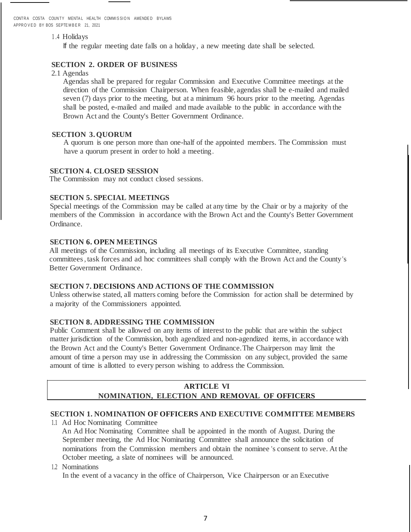CONTRA COSTA COUNTY MENTAL HEALTH COMMISSION AMENDED BYLAWS APPROVED BY BOS SEPTEMBER 21 2021

#### 1 .4 Holidays

If the regular meeting date falls on a holiday, a new meeting date shall be selected.

# **SECTION 2. ORDER OF BUSINESS**

2.1 Agendas

Agendas shall be prepared for regular Commission and Executive Committee meetings at the direction of the Commission Chairperson. When feasible, agendas shall be e-mailed and mailed seven (7) days prior to the meeting, but at a minimum 96 hours prior to the meeting. Agendas shall be posted, e-mailed and mailed and made available to the public in accordance with the Brown Act and the County's Better Government Ordinance.

### **SECTION 3.QUORUM**

A quorum is one person more than one-half of the appointed members. The Commission must have a quorum present in order to hold a meeting.

#### **SECTION 4. CLOSED SESSION**

The Commission may not conduct closed sessions.

# **SECTION 5. SPECIAL MEETINGS**

Special meetings of the Commission may be called at any time by the Chair or by a majority of the members of the Commission in accordance with the Brown Act and the County's Better Government Ordinance.

# **SECTION 6. OPEN MEETINGS**

All meetings of the Commission, including all meetings of its Executive Committee, standing committees, task forces and ad hoc committees shall comply with the Brown Act and the County's Better Government Ordinance.

### **SECTION 7. DECISIONS AND ACTIONS OF THE COMMISSION**

Unless otherwise stated, all matters coming before the Commission for action shall be determined by a majority of the Commissioners appointed.

# **SECTION 8. ADDRESSING THE COMMISSION**

Public Comment shall be allowed on any items of interest to the public that are within the subject matter jurisdiction of the Commission, both agendized and non-agendized items, in accordance with the Brown Act and the County's Better Government Ordinance.The Chairperson may limit the amount of time a person may use in addressing the Commission on any subject, provided the same amount of time is allotted to every person wishing to address the Commission.

# **ARTICLE VI NOMINATION, ELECTION AND REMOVAL OF OFFICERS**

# **SECTION 1. NOMINATION OF OFFICERS AND EXECUTIVE COMMITTEE MEMBERS**

1.1 Ad Hoc Nominating Committee An Ad Hoc Nominating Committee shall be appointed in the month of August. During the September meeting, the Ad Hoc Nominating Committee shall announce the solicitation of nominations from the Commission members and obtain the nominee 's consent to serve. At the October meeting, a slate of nominees will be announced.

1.2 Nominations

In the event of a vacancy in the office of Chairperson, Vice Chairperson or an Executive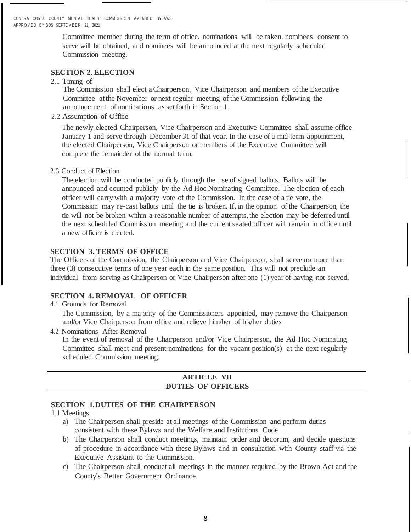CONTRA COSTA COUNTY MENTAL HEALTH COMMISSION AMENDED BYLAWS APPROVED BY BOS SEPTEMBER 21 2021

> Committee member during the term of office, nominations will be taken, nominees ' consent to serve will be obtained, and nominees will be announced at the next regularly scheduled Commission meeting.

# **SECTION 2. ELECTION**

2.1 Timing of

The Commission shall elect aChairperson, Vice Chairperson and members ofthe Executive Committee atthe November or next regular meeting of the Commission following the announcement of nominations as setforth in Section I.

2.2 Assumption of Office

The newly-elected Chairperson, Vice Chairperson and Executive Committee shall assume office January 1 and serve through December 31 of that year. In the case of a mid-term appointment, the elected Chairperson, Vice Chairperson or members of the Executive Committee will complete the remainder of the normal term.

2.3 Conduct of Election

The election will be conducted publicly through the use of signed ballots. Ballots will be announced and counted publicly by the Ad Hoc Nominating Committee. The election of each officer will carry with a majority vote of the Commission. In the case of a tie vote, the Commission may re-cast ballots until the tie is broken. If, in the opinion of the Chairperson, the tie will not be broken within a reasonable number of attempts, the election may be deferred until the next scheduled Commission meeting and the currentseated officer will remain in office until a new officer is elected.

# **SECTION 3. TERMS OF OFFICE**

The Officers of the Commission, the Chairperson and Vice Chairperson, shall serve no more than three (3) consecutive terms of one year each in the same position. This will not preclude an individual from serving as Chairperson or Vice Chairperson after one (1) year of having not served.

# **SECTION 4. REMOVAL OF OFFICER**

#### 4.1 Grounds for Removal

The Commission, by a majority of the Commissioners appointed, may remove the Chairperson and/or Vice Chairperson from office and relieve him/her of his/her duties

4.2 Nominations After Removal

In the event of removal of the Chairperson and/or Vice Chairperson, the Ad Hoc Nominating Committee shall meet and present nominations for the vacant position(s) at the next regularly scheduled Commission meeting.

# **ARTICLE VII DUTIES OF OFFICERS**

#### **SECTION 1.DUTIES OF THE CHAIRPERSON**

#### 1.1 Meetings

- a) The Chairperson shall preside at all meetings of the Commission and perform duties consistent with these Bylaws and the Welfare and Institutions Code
- b) The Chairperson shall conduct meetings, maintain order and decorum, and decide questions of procedure in accordance with these Bylaws and in consultation with County staff via the Executive Assistant to the Commission.
- c) The Chairperson shall conduct all meetings in the manner required by the Brown Act and the County's Better Government Ordinance.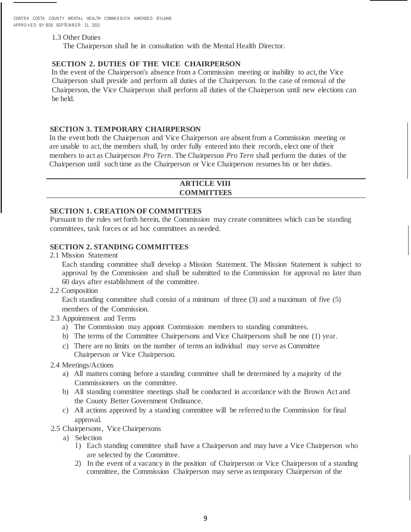CONTRA COSTA COUNTY MENTAL HEALTH COMMISSION AMENDED BYLAWS APPROVED BY BOS SEPTEMBER 21, 2021

#### 1.3 Other Duties

The Chairperson shall be in consultation with the Mental Health Director.

### **SECTION 2. DUTIES OF THE VICE CHAIRPERSON**

In the event of the Chairperson's absence from a Commission meeting or inability to act, the Vice Chairperson shall preside and perform all duties of the Chairperson. In the case of removal of the Chairperson, the Vice Chairperson shall perform all duties of the Chairperson until new elections can be held.

# **SECTION 3. TEMPORARY CHAIRPERSON**

In the event both the Chairperson and Vice Chairperson are absent from a Commission meeting or are unable to act, the members shall, by order fully entered into their records, elect one of their members to act as Chairperson *Pro Tern*. The Chairperson *Pro Tern* shall perform the duties of the Chairperson until such time as the Chairperson or Vice Chairperson resumes his or her duties.

# **ARTICLE VIII COMMITTEES**

#### **SECTION 1. CREATION OF COMMITTEES**

Pursuant to the rules set forth herein, the Commission may create committees which can be standing committees, task forces or ad hoc committees as needed.

# **SECTION 2. STANDING COMMITTEES**

2.1 Mission Statement

Each standing committee shall develop a Mission Statement. The Mission Statement is subject to approval by the Commission and shall be submitted to the Commission for approval no later than 60 days after establishment of the committee.

2.2 Composition

Each standing committee shall consist of a minimum of three (3) and a maximum of five (5) members of the Commission.

- 2.3 Appointment and Terms
	- a) The Commission may appoint Commission members to standing committees.
	- b) The terms of the Committee Chairpersons and Vice Chairpersons shall be one (1) year.
	- c) There are no limits on the number of terms an individual may serve as Committee Chairperson or Vice Chairperson.
- 2.4 Meetings/Actions
	- a) All matters coming before a standing committee shall be determined by a majority of the Commissioners on the committee.
	- b) All standing committee meetings shall be conducted in accordance with the Brown Act and the County Better Government Ordinance.
	- c) All actions approved by a standing committee will be referred to the Commission for final approval.
- 2.5 Chairpersons, Vice Chairpersons
	- a) Selection
		- l) Each standing committee shall have a Chairperson and may have a Vice Chairperson who are selected by the Committee.
		- 2) In the event of a vacancy in the position of Chairperson or Vice Chairperson of a standing committee, the Commission Chairperson may serve as temporary Chairperson of the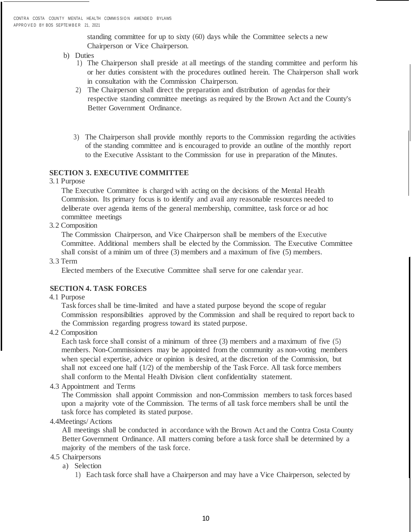standing committee for up to sixty (60) days while the Committee selects a new Chairperson or Vice Chairperson.

- b) Duties
	- 1) The Chairperson shall preside at all meetings of the standing committee and perform his or her duties consistent with the procedures outlined herein. The Chairperson shall work in consultation with the Commission Chairperson.
	- 2) The Chairperson shall direct the preparation and distribution of agendas for their respective standing committee meetings as required by the Brown Act and the County's Better Government Ordinance.
	- 3) The Chairperson shall provide monthly reports to the Commission regarding the activities of the standing committee and is encouraged to provide an outline of the monthly report to the Executive Assistant to the Commission for use in preparation of the Minutes.

# **SECTION 3. EXECUTIVE COMMITTEE**

#### 3.1 Purpose

The Executive Committee is charged with acting on the decisions of the Mental Health Commission. Its primary focus is to identify and avail any reasonable resources needed to deliberate over agenda items of the general membership, committee, task force or ad hoc committee meetings

3.2 Composition

The Commission Chairperson, and Vice Chairperson shall be members of the Executive Committee. Additional members shall be elected by the Commission. The Executive Committee shall consist of a minim um of three (3) members and a maximum of five (5) members.

#### 3.3 Term

Elected members of the Executive Committee shall serve for one calendar year.

# **SECTION 4. TASK FORCES**

# 4.1 Purpose

Task forces shall be time-limited and have a stated purpose beyond the scope of regular Commission responsibilities approved by the Commission and shall be required to report back to the Commission regarding progress toward its stated purpose.

4.2 Composition

Each task force shall consist of a minimum of three (3) members and a maximum of five (5) members. Non-Commissioners may be appointed from the community as non-voting members when special expertise, advice or opinion is desired, at the discretion of the Commission, but shall not exceed one half  $(1/2)$  of the membership of the Task Force. All task force members shall conform to the Mental Health Division client confidentiality statement.

4.3 Appointment and Terms

The Commission shall appoint Commission and non-Commission members to task forces based upon a majority vote of the Commission. The terms of all task force members shall be until the task force has completed its stated purpose.

4.4Meetings/ Actions

All meetings shall be conducted in accordance with the Brown Act and the Contra Costa County Better Government Ordinance. All matters coming before a task force shall be determined by a majority of the members of the task force.

- 4.5 Chairpersons
	- a) Selection
		- 1) Each task force shall have a Chairperson and may have a Vice Chairperson, selected by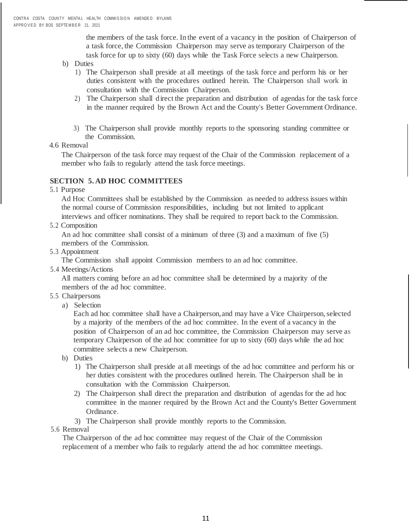the members of the task force. In the event of a vacancy in the position of Chairperson of a task force, the Commission Chairperson may serve as temporary Chairperson of the task force for up to sixty (60) days while the Task Force selects a new Chairperson.

- b) Duties
	- 1) The Chairperson shall preside at all meetings of the task force and perform his or her duties consistent with the procedures outlined herein. The Chairperson shall work in consultation with the Commission Chairperson.
	- 2) The Chairperson shall direct the preparation and distribution of agendas for the task force in the manner required by the Brown Act and the County's Better Government Ordinance.
	- 3) The Chairperson shall provide monthly reports to the sponsoring standing committee or the Commission.
- 4.6 Removal

The Chairperson of the task force may request of the Chair of the Commission replacement of a member who fails to regularly attend the task force meetings.

# **SECTION 5. AD HOC COMMITTEES**

5.1 Purpose

Ad Hoc Committees shall be established by the Commission as needed to address issues within the normal course of Commission responsibilities, including but not limited to applicant interviews and officer nominations. They shall be required to report back to the Commission.

5.2 Composition

An ad hoc committee shall consist of a minimum of three (3) and a maximum of five (5) members of the Commission.

5.3 Appointment

The Commission shall appoint Commission members to an ad hoc committee.

5.4 Meetings/Actions

All matters coming before an ad hoc committee shall be determined by a majority of the members of the ad hoc committee.

- 5.5 Chairpersons
	- a) Selection

Each ad hoc committee shall have a Chairperson,and may have a Vice Chairperson,selected by a majority of the members of the ad hoc committee. In the event of a vacancy in the position of Chairperson of an ad hoc committee, the Commission Chairperson may serve as temporary Chairperson of the ad hoc committee for up to sixty (60) days while the ad hoc committee selects a new Chairperson.

b) Duties

- 1) The Chairperson shall preside at all meetings of the ad hoc committee and perform his or her duties consistent with the procedures outlined herein. The Chairperson shall be in consultation with the Commission Chairperson.
- 2) The Chairperson shall direct the preparation and distribution of agendas for the ad hoc committee in the manner required by the Brown Act and the County's Better Government Ordinance.
- 3) The Chairperson shall provide monthly reports to the Commission.

# 5.6 Removal

The Chairperson of the ad hoc committee may request of the Chair of the Commission replacement of a member who fails to regularly attend the ad hoc committee meetings.